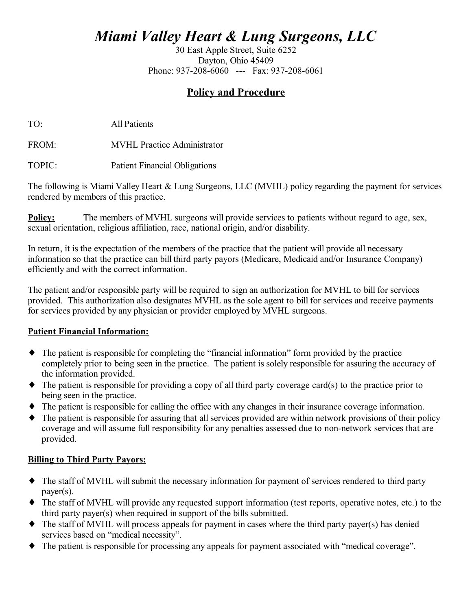# *Miami Valley Heart & Lung Surgeons, LLC*

30 East Apple Street, Suite 6252 Dayton, Ohio 45409 Phone: 937-208-6060 --- Fax: 937-208-6061

# **Policy and Procedure**

TO: All Patients

FROM: MVHL Practice Administrator

TOPIC: Patient Financial Obligations

The following is Miami Valley Heart & Lung Surgeons, LLC (MVHL) policy regarding the payment for services rendered by members of this practice.

**Policy:** The members of MVHL surgeons will provide services to patients without regard to age, sex, sexual orientation, religious affiliation, race, national origin, and/or disability.

In return, it is the expectation of the members of the practice that the patient will provide all necessary information so that the practice can bill third party payors (Medicare, Medicaid and/or Insurance Company) efficiently and with the correct information.

The patient and/or responsible party will be required to sign an authorization for MVHL to bill for services provided. This authorization also designates MVHL as the sole agent to bill for services and receive payments for services provided by any physician or provider employed by MVHL surgeons.

## **Patient Financial Information:**

- ♦ The patient is responsible for completing the "financial information" form provided by the practice completely prior to being seen in the practice. The patient is solely responsible for assuring the accuracy of the information provided.
- ♦ The patient is responsible for providing a copy of all third party coverage card(s) to the practice prior to being seen in the practice.
- The patient is responsible for calling the office with any changes in their insurance coverage information.
- ♦ The patient is responsible for assuring that all services provided are within network provisions of their policy coverage and will assume full responsibility for any penalties assessed due to non-network services that are provided.

## **Billing to Third Party Payors:**

- ♦ The staff of MVHL will submit the necessary information for payment of services rendered to third party payer(s).
- ♦ The staff of MVHL will provide any requested support information (test reports, operative notes, etc.) to the third party payer(s) when required in support of the bills submitted.
- ♦ The staff of MVHL will process appeals for payment in cases where the third party payer(s) has denied services based on "medical necessity".
- ♦ The patient is responsible for processing any appeals for payment associated with "medical coverage".